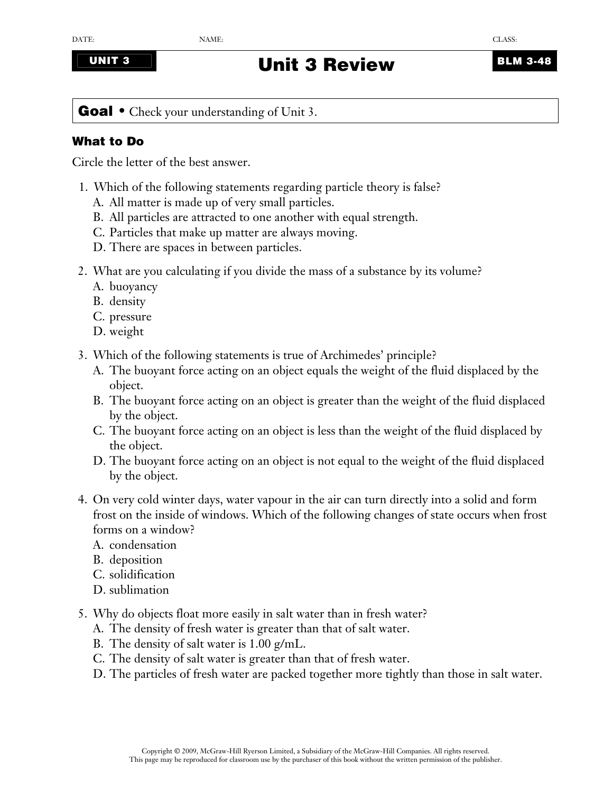## **UNIT 3 Unit 3 Review BLM 3-48**

Goal • Check your understanding of Unit 3.

## **What to Do**

Circle the letter of the best answer.

- 1. Which of the following statements regarding particle theory is false?
	- A. All matter is made up of very small particles.
	- B. All particles are attracted to one another with equal strength.
	- C. Particles that make up matter are always moving.
	- D. There are spaces in between particles.
- 2. What are you calculating if you divide the mass of a substance by its volume?
	- A. buoyancy
	- B. density
	- C. pressure
	- D. weight
- 3. Which of the following statements is true of Archimedes' principle?
	- A. The buoyant force acting on an object equals the weight of the fluid displaced by the object.
	- B. The buoyant force acting on an object is greater than the weight of the fluid displaced by the object.
	- C. The buoyant force acting on an object is less than the weight of the fluid displaced by the object.
	- D. The buoyant force acting on an object is not equal to the weight of the fluid displaced by the object.
- 4. On very cold winter days, water vapour in the air can turn directly into a solid and form frost on the inside of windows. Which of the following changes of state occurs when frost forms on a window?
	- A. condensation
	- B. deposition
	- C. solidification
	- D. sublimation
- 5. Why do objects float more easily in salt water than in fresh water?
	- A. The density of fresh water is greater than that of salt water.
	- B. The density of salt water is 1.00 g/mL.
	- C. The density of salt water is greater than that of fresh water.
	- D. The particles of fresh water are packed together more tightly than those in salt water.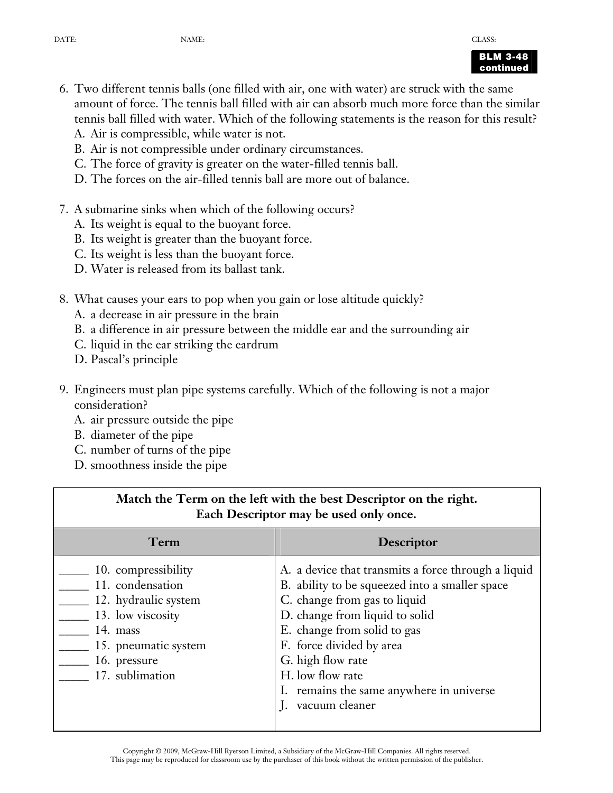

- 6. Two different tennis balls (one filled with air, one with water) are struck with the same amount of force. The tennis ball filled with air can absorb much more force than the similar tennis ball filled with water. Which of the following statements is the reason for this result?
	- A. Air is compressible, while water is not.
	- B. Air is not compressible under ordinary circumstances.
	- C. The force of gravity is greater on the water-filled tennis ball.
	- D. The forces on the air-filled tennis ball are more out of balance.
- 7. A submarine sinks when which of the following occurs?
	- A. Its weight is equal to the buoyant force.
	- B. Its weight is greater than the buoyant force.
	- C. Its weight is less than the buoyant force.
	- D. Water is released from its ballast tank.
- 8. What causes your ears to pop when you gain or lose altitude quickly?
	- A. a decrease in air pressure in the brain
	- B. a difference in air pressure between the middle ear and the surrounding air
	- C. liquid in the ear striking the eardrum
	- D. Pascal's principle
- 9. Engineers must plan pipe systems carefully. Which of the following is not a major consideration?
	- A. air pressure outside the pipe
	- B. diameter of the pipe
	- C. number of turns of the pipe
	- D. smoothness inside the pipe

| Match the Term on the left with the best Descriptor on the right.<br>Each Descriptor may be used only once.                                                 |                                                                                                                                                                                                                                                                                                                                           |
|-------------------------------------------------------------------------------------------------------------------------------------------------------------|-------------------------------------------------------------------------------------------------------------------------------------------------------------------------------------------------------------------------------------------------------------------------------------------------------------------------------------------|
| Term                                                                                                                                                        | <b>Descriptor</b>                                                                                                                                                                                                                                                                                                                         |
| 10. compressibility<br>11. condensation<br>12. hydraulic system<br>13. low viscosity<br>14. mass<br>15. pneumatic system<br>16. pressure<br>17. sublimation | A. a device that transmits a force through a liquid<br>B. ability to be squeezed into a smaller space<br>C. change from gas to liquid<br>D. change from liquid to solid<br>E. change from solid to gas<br>F. force divided by area<br>G. high flow rate<br>H. low flow rate<br>I. remains the same anywhere in universe<br>vacuum cleaner |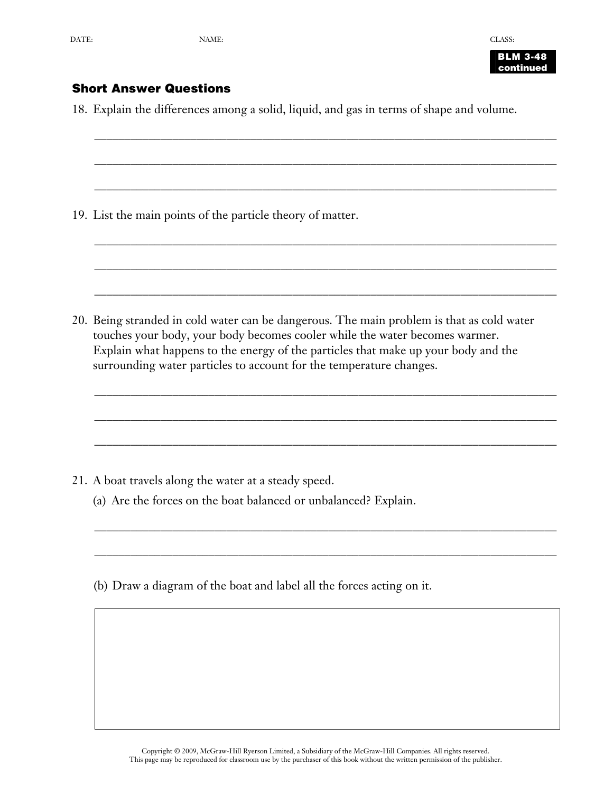**BLM 3-48 continued** 

## **Short Answer Questions**

18. Explain the differences among a solid, liquid, and gas in terms of shape and volume.

\_\_\_\_\_\_\_\_\_\_\_\_\_\_\_\_\_\_\_\_\_\_\_\_\_\_\_\_\_\_\_\_\_\_\_\_\_\_\_\_\_\_\_\_\_\_\_\_\_\_\_\_\_\_\_\_\_\_\_\_\_\_\_\_\_\_\_\_\_\_\_\_\_\_\_\_\_

\_\_\_\_\_\_\_\_\_\_\_\_\_\_\_\_\_\_\_\_\_\_\_\_\_\_\_\_\_\_\_\_\_\_\_\_\_\_\_\_\_\_\_\_\_\_\_\_\_\_\_\_\_\_\_\_\_\_\_\_\_\_\_\_\_\_\_\_\_\_\_\_\_\_\_\_\_

\_\_\_\_\_\_\_\_\_\_\_\_\_\_\_\_\_\_\_\_\_\_\_\_\_\_\_\_\_\_\_\_\_\_\_\_\_\_\_\_\_\_\_\_\_\_\_\_\_\_\_\_\_\_\_\_\_\_\_\_\_\_\_\_\_\_\_\_\_\_\_\_\_\_\_\_\_

\_\_\_\_\_\_\_\_\_\_\_\_\_\_\_\_\_\_\_\_\_\_\_\_\_\_\_\_\_\_\_\_\_\_\_\_\_\_\_\_\_\_\_\_\_\_\_\_\_\_\_\_\_\_\_\_\_\_\_\_\_\_\_\_\_\_\_\_\_\_\_\_\_\_\_\_\_

\_\_\_\_\_\_\_\_\_\_\_\_\_\_\_\_\_\_\_\_\_\_\_\_\_\_\_\_\_\_\_\_\_\_\_\_\_\_\_\_\_\_\_\_\_\_\_\_\_\_\_\_\_\_\_\_\_\_\_\_\_\_\_\_\_\_\_\_\_\_\_\_\_\_\_\_\_

\_\_\_\_\_\_\_\_\_\_\_\_\_\_\_\_\_\_\_\_\_\_\_\_\_\_\_\_\_\_\_\_\_\_\_\_\_\_\_\_\_\_\_\_\_\_\_\_\_\_\_\_\_\_\_\_\_\_\_\_\_\_\_\_\_\_\_\_\_\_\_\_\_\_\_\_\_

\_\_\_\_\_\_\_\_\_\_\_\_\_\_\_\_\_\_\_\_\_\_\_\_\_\_\_\_\_\_\_\_\_\_\_\_\_\_\_\_\_\_\_\_\_\_\_\_\_\_\_\_\_\_\_\_\_\_\_\_\_\_\_\_\_\_\_\_\_\_\_\_\_\_\_\_\_

\_\_\_\_\_\_\_\_\_\_\_\_\_\_\_\_\_\_\_\_\_\_\_\_\_\_\_\_\_\_\_\_\_\_\_\_\_\_\_\_\_\_\_\_\_\_\_\_\_\_\_\_\_\_\_\_\_\_\_\_\_\_\_\_\_\_\_\_\_\_\_\_\_\_\_\_\_

\_\_\_\_\_\_\_\_\_\_\_\_\_\_\_\_\_\_\_\_\_\_\_\_\_\_\_\_\_\_\_\_\_\_\_\_\_\_\_\_\_\_\_\_\_\_\_\_\_\_\_\_\_\_\_\_\_\_\_\_\_\_\_\_\_\_\_\_\_\_\_\_\_\_\_\_\_

\_\_\_\_\_\_\_\_\_\_\_\_\_\_\_\_\_\_\_\_\_\_\_\_\_\_\_\_\_\_\_\_\_\_\_\_\_\_\_\_\_\_\_\_\_\_\_\_\_\_\_\_\_\_\_\_\_\_\_\_\_\_\_\_\_\_\_\_\_\_\_\_\_\_\_\_\_

\_\_\_\_\_\_\_\_\_\_\_\_\_\_\_\_\_\_\_\_\_\_\_\_\_\_\_\_\_\_\_\_\_\_\_\_\_\_\_\_\_\_\_\_\_\_\_\_\_\_\_\_\_\_\_\_\_\_\_\_\_\_\_\_\_\_\_\_\_\_\_\_\_\_\_\_\_

19. List the main points of the particle theory of matter.

20. Being stranded in cold water can be dangerous. The main problem is that as cold water touches your body, your body becomes cooler while the water becomes warmer. Explain what happens to the energy of the particles that make up your body and the surrounding water particles to account for the temperature changes.

- 21. A boat travels along the water at a steady speed.
	- (a) Are the forces on the boat balanced or unbalanced? Explain.
	- (b) Draw a diagram of the boat and label all the forces acting on it.